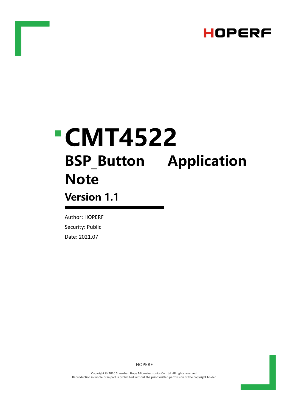

# **CMT4522 BSP\_Button Application Note Version 1.1**

Author: HOPERF Security: Public Date: 2021.07

HOPERF

Copyright © 2020 Shenzhen Hope Microelectronics Co. Ltd. All rights reserved. Reproduction in whole or in part is prohibited without the prior written permission of the copyright holder.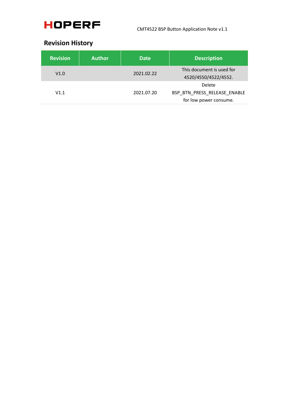

### **Revision History**

| <b>Revision</b> | <b>Author</b> | <b>Date</b> | <b>Description</b>                                               |
|-----------------|---------------|-------------|------------------------------------------------------------------|
| V1.0            |               | 2021.02.22  | This document is used for<br>4520/4550/4522/4552.                |
| V1.1            |               | 2021.07.20  | Delete<br>BSP BTN PRESS RELEASE ENABLE<br>for low power consume. |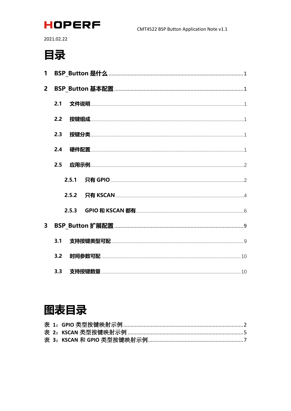

2021.02.22

# 目录

| $\mathbf{1}$            |     |  |
|-------------------------|-----|--|
| $2^{\circ}$             |     |  |
|                         | 2.1 |  |
|                         | 2.2 |  |
|                         | 2.3 |  |
|                         | 2.4 |  |
|                         | 2.5 |  |
|                         |     |  |
|                         |     |  |
|                         |     |  |
| $\overline{\mathbf{3}}$ |     |  |
|                         | 3.1 |  |
|                         | 3.2 |  |
|                         |     |  |

# 图表目录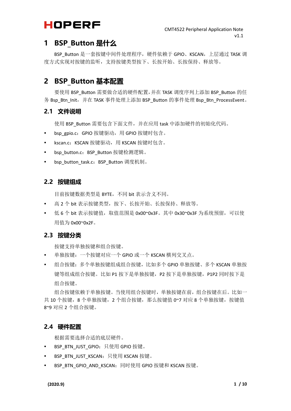### <span id="page-3-0"></span>**1 BSP\_Button 是什么**

BSP\_Button 是一套按键中间件处理程序,硬件依赖于 GPIO、KSCAN, 上层通过 TASK 调 度方式实现对按键的监听,支持按键类型按下、长按开始、长按保持、释放等。

### <span id="page-3-1"></span>**2 BSP\_Button 基本配置**

要使用 BSP\_Button 需要做合适的硬件配置,并在 TASK 调度序列上添加 BSP\_Button 的任 务 Bsp\_Btn\_Init,并在 TASK 事件处理上添加 BSP\_Button 的事件处理 Bsp\_Btn\_ProcessEvent。

#### <span id="page-3-2"></span>**2.1 文件说明**

使用 BSP\_Button 需要包含下面文件,并在应用 task 中添加硬件的初始化代码。

- bsp\_gpio.c: GPIO 按键驱动, 用 GPIO 按键时包含。
- kscan.c: KSCAN 按键驱动, 用 KSCAN 按键时包含。
- bsp\_button.c: BSP\_Button 按键检测逻辑。
- bsp\_button\_task.c: BSP\_Button 调度机制。

#### <span id="page-3-3"></span>**2.2 按键组成**

目前按键数据类型是 BYTE,不同 bit 表示含义不同。

- 高 2 个 bit 表示按键类型,按下、长按开始、长按保持、释放等。
- 低 6 个 bit 表示按键值, 取值范围是 0x00~0x3F。其中 0x30~0x3F 为系统预留, 可以使 用值为 0x00~0x2F。

#### <span id="page-3-4"></span>**2.3 按键分类**

按键支持单独按键和组合按键。

- 单独按键:一个按键对应一个 GPIO 或一个 KSCAN 横列交叉点。
- 组合按键: 多个单独按键组成组合按键, 比如多个 GPIO 单独按键、多个 KSCAN 单独按 键等组成组合按键。比如 P1 按下是单独按键, P2 按下是单独按键, P1P2 同时按下是 组合按键。

组合按键依赖于单独按键。当使用组合按键时,单独按键在前,组合按键在后。比如一 共 10 个按键, 8 个单独按键, 2 个组合按键, 那么按键值 0~7 对应 8 个单独按键, 按键值 8~9 对应 2 个组合按键。

#### <span id="page-3-5"></span>**2.4 硬件配置**

根据需要选择合适的底层硬件。

- BSP\_BTN\_JUST\_GPIO: 只使用 GPIO 按键。
- BSP\_BTN\_JUST\_KSCAN: 只使用 KSCAN 按键。
- BSP\_BTN\_GPIO\_AND\_KSCAN: 同时使用 GPIO 按键和 KSCAN 按键。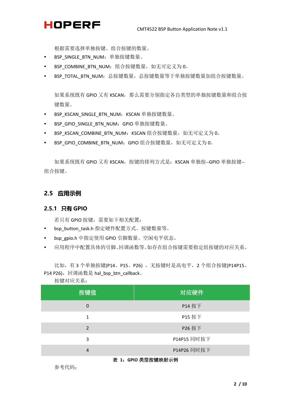根据需要选择单独按键、组合按键的数量。

- BSP SINGLE BTN NUM: 单独按键数量。
- BSP COMBINE BTN NUM: 组合按键数量, 如无可定义为 0。
- BSP TOTAL BTN NUM: 总按键数量, 总按键数量等于单独按键数量加组合按键数量。

如果系统既有 GPIO 又有 KSCAN, 那么需要分别指定各自类型的单独按键数量和组合按 键数量。

- BSP KSCAN SINGLE BTN NUM: KSCAN 单独按键数量。
- BSP\_GPIO\_SINGLE\_BTN\_NUM: GPIO 单独按键数量。
- BSP KSCAN COMBINE BTN NUM: KSCAN 组合按键数量, 如无可定义为 0。
- BSP\_GPIO\_COMBINE\_BTN\_NUM: GPIO 组合按键数量, 如无可定义为 0。

如果系统既有 GPIO 又有 KSCAN, 按键的排列方式是: KSCAN 单独按-GPIO 单独按键--组合按键。

#### <span id="page-4-0"></span>**2.5 应用示例**

#### <span id="page-4-1"></span>**2.5.1 只有 GPIO**

若只有 GPIO 按键,需要如下相关配置:

- bsp\_button\_task.h 指定硬件配置方式、按键数量等。
- bsp\_gpio.h 中指定使用 GPIO 引脚数量、空闲电平状态。
- 应用程序中配置具体的引脚、回调函数等。如存在组合按键需要指定组按键的对应关系。

比如,有3个单独按键(P14、P15、P26),无按键时是高电平,2个组合按键(P14P15、 P14 P26), 回调函数是 hal\_bsp\_btn\_callback。

| 按键值            | 对应硬件        |
|----------------|-------------|
| 0              | P14 按下      |
| 1              | P15 按下      |
| 2              | P26 按下      |
| 3              | P14P15 同时按下 |
| $\overline{4}$ | P14P26 同时按下 |

```
按键对应关系:
```
<span id="page-4-2"></span>表 **1**:**GPIO** 类型按键映射示例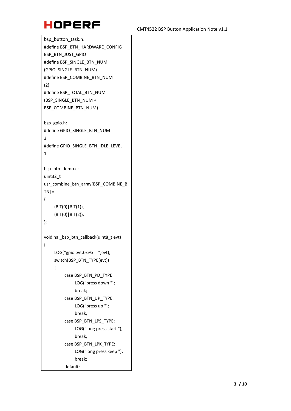

```
bsp_button_task.h:
#define BSP_BTN_HARDWARE_CONFIG 
BSP_BTN_JUST_GPIO
#define BSP_SINGLE_BTN_NUM
(GPIO_SINGLE_BTN_NUM)
#define BSP_COMBINE_BTN_NUM 
(2)
#define BSP_TOTAL_BTN_NUM 
(BSP_SINGLE_BTN_NUM + 
BSP_COMBINE_BTN_NUM)
bsp_gpio.h:
#define GPIO_SINGLE_BTN_NUM 
3
#define GPIO_SINGLE_BTN_IDLE_LEVEL 
1
bsp_btn_demo.c:
uint32_t 
usr_combine_btn_array[BSP_COMBINE_B
TN ={
    (BIT(0)|BIT(1)),
    (BIT(0)|BIT(2)),
};
void hal_bsp_btn_callback(uint8_t evt)
{
    LOG("gpio evt:0x%x ",evt);
    switch(BSP_BTN_TYPE(evt))
    {
         case BSP_BTN_PD_TYPE:
              LOG("press down ");
              break;
         case BSP_BTN_UP_TYPE:
              LOG("press up ");
              break;
         case BSP_BTN_LPS_TYPE:
              LOG("long press start ");
              break;
         case BSP_BTN_LPK_TYPE:
              LOG("long press keep ");
              break;
         default:
```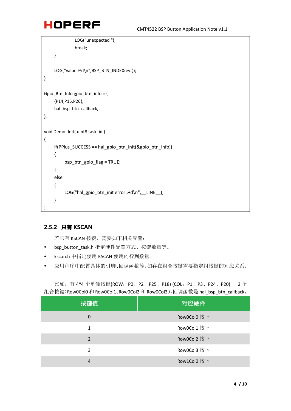```
LOG("unexpected ");
              break;
    }
    LOG("value:%d\n",BSP_BTN_INDEX(evt));
}
Gpio_Btn_Info gpio_btn_info = {
     {P14,P15,P26},
    hal_bsp_btn_callback,
};
void Demo_Init( uint8 task_id )
{
    if(PPlus SUCCESS == hal_gpio_btn_init(&gpio_btn_info))
    {
         bsp_btn_gpio_flag = TRUE;
    }
    else
    {
         LOG("hal_gpio_btn_init error:%d\n", __LINE__);
    }
```
### <span id="page-6-0"></span>**2.5.2 只有 KSCAN**

}

若只有 KSCAN 按键, 需要如下相关配置:

- bsp\_button\_task.h 指定硬件配置方式、按键数量等。
- kscan.h 中指定使用 KSCAN 使用的行列数量。
- 应用程序中配置具体的引脚、回调函数等。如存在组合按键需要指定组按键的对应关系。

比如, 有4\*4个单独按键(ROW: P0、P2、P25、P18) (COL: P1、P3、P24、P20), 2个 组合按键(Row0Col0 和 Row0Col1、Row0Col2 和 Row0Col3),回调函数是 hal\_bsp\_btn\_callback。

| 按键值           | 对应硬件        |
|---------------|-------------|
| 0             | Row0Col0 按下 |
| 1             | Row0Col1 按下 |
| $\mathcal{P}$ | Row0Col2 按下 |
| 3             | Row0Col3 按下 |
| 4             | Row1Col0 按下 |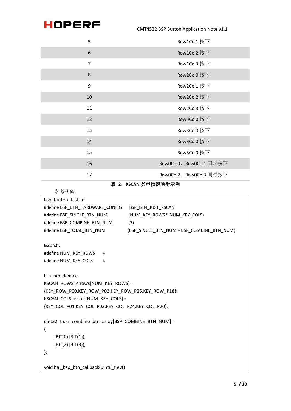CMT4522 BSP Button Application Note v1.1

| 5              | Row1Col1 按下            |
|----------------|------------------------|
| 6              | Row1Col2 按下            |
| $\overline{7}$ | Row1Col3 按下            |
| 8              | Row2Col0 按下            |
| 9              | Row2Col1 按下            |
| 10             | Row2Col2 按下            |
| 11             | Row2Col3 按下            |
| 12             | Row3Col0 按下            |
| 13             | Row3Col0 按下            |
| 14             | Row3Col0 按下            |
| 15             | Row3Col0 按下            |
| 16             | Row0Col0、Row0Col1同时按下  |
| 17             | Row0Col2、Row0Col3 同时按下 |

表 **2**:**KSCAN** 类型按键映射示例

```
参考代码:
```

```
bsp_button_task.h:
#define BSP_BTN_HARDWARE_CONFIG BSP_BTN_JUST_KSCAN
#define BSP_SINGLE_BTN_NUM (NUM_KEY_ROWS * NUM_KEY_COLS)
#define BSP_COMBINE_BTN_NUM (2)
#define BSP_TOTAL_BTN_NUM (BSP_SINGLE_BTN_NUM + BSP_COMBINE_BTN_NUM)
kscan.h:
#define NUM_KEY_ROWS 4
#define NUM_KEY_COLS 4
bsp_btn_demo.c:
KSCAN_ROWS_e rows[NUM_KEY_ROWS] =
{KEY_ROW_P00,KEY_ROW_P02,KEY_ROW_P25,KEY_ROW_P18};
KSCAN_COLS_e cols[NUM_KEY_COLS] =
{KEY_COL_P01,KEY_COL_P03,KEY_COL_P24,KEY_COL_P20};
uint32 t usr_combine_btn_array[BSP_COMBINE_BTN_NUM] =
{
    (BIT(0)|BIT(1)),
    (BIT(2)|BIT(3)),
};
void hal_bsp_btn_callback(uint8_t evt)
```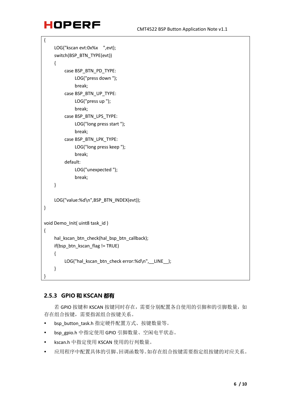```
{
    LOG("kscan evt:0x%x ",evt);
    switch(BSP_BTN_TYPE(evt))
    {
         case BSP_BTN_PD_TYPE:
              LOG("press down ");
              break;
         case BSP_BTN_UP_TYPE:
              LOG("press up ");
              break;
         case BSP_BTN_LPS_TYPE:
              LOG("long press start ");
              break;
         case BSP_BTN_LPK_TYPE:
              LOG("long press keep ");
              break;
         default:
              LOG("unexpected ");
              break;
    }
    LOG("value:%d\n",BSP_BTN_INDEX(evt));
}
void Demo_Init( uint8 task_id )
{
    hal_kscan_btn_check(hal_bsp_btn_callback);
    if(bsp_btn_kscan_flag != TRUE)
    {
         LOG("hal kscan_btn_check error:%d\n", LINE );
    }
}
```
#### <span id="page-8-0"></span>**2.5.3 GPIO 和 KSCAN 都有**

若 GPIO 按键和 KSCAN 按键同时存在,需要分别配置各自使用的引脚和的引脚数量, 如 存在组合按键,需要指派组合按键关系。

- bsp\_button\_task.h 指定硬件配置方式、按键数量等。
- bsp\_gpio.h 中指定使用 GPIO 引脚数量、空闲电平状态。
- kscan.h 中指定使用 KSCAN 使用的行列数量。
- 应用程序中配置具体的引脚、回调函数等。如存在组合按键需要指定组按键的对应关系。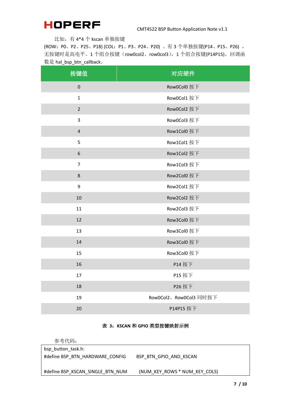比如,有 4\*4 个 kscan 单独按键

(ROW:P0、P2、P25、P18) (COL:P1、P3、P24、P20) 。有 3 个单独按键(P14、P15、P26) , 无按键时是高电平。1个组合按键(row0col2、row0col3),1个组合按键(P14P15)。回调函 数是 hal\_bsp\_btn\_callback。

| 按键值              | 对应硬件                   |
|------------------|------------------------|
| $\pmb{0}$        | Row0Col0 按下            |
| $\mathbf 1$      | Row0Col1 按下            |
| $\mathbf 2$      | Row0Col2 按下            |
| $\mathbf{3}$     | Row0Col3 按下            |
| $\sqrt{4}$       | Row1Col0 按下            |
| 5                | Row1Col1 按下            |
| $\boldsymbol{6}$ | Row1Col2 按下            |
| $\overline{7}$   | Row1Col3 按下            |
| $\,8\,$          | Row2Col0 按下            |
| 9                | Row2Col1 按下            |
| 10               | Row2Col2 按下            |
| 11               | Row2Col3 按下            |
| 12               | Row3Col0 按下            |
| 13               | Row3Col0 按下            |
| 14               | Row3Col0 按下            |
| 15               | Row3Col0 按下            |
| 16               | P14 按下                 |
| 17               | P15 按下                 |
| 18               | P26 按下                 |
| 19               | Row0Col2、Row0Col3 同时按下 |
| 20               | P14P15 按下              |

#### 表 **3**:**KSCAN** 和 **GPIO** 类型按键映射示例

<span id="page-9-0"></span>参考代码:

| bsp_button_task.h:               |                               |
|----------------------------------|-------------------------------|
| #define BSP BTN HARDWARE CONFIG  | BSP BTN GPIO AND KSCAN        |
|                                  |                               |
| #define BSP KSCAN SINGLE BTN NUM | (NUM KEY ROWS * NUM KEY COLS) |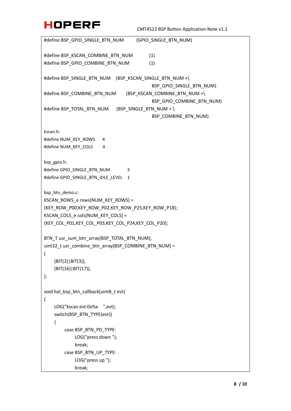```
#define BSP_GPIO_SINGLE_BTN_NUM (GPIO_SINGLE_BTN_NUM)
#define BSP_KSCAN_COMBINE_BTN_NUM (1)
#define BSP_GPIO_COMBINE_BTN_NUM (1)
#define BSP_SINGLE_BTN_NUM (BSP_KSCAN_SINGLE_BTN_NUM +\
                                          BSP_GPIO_SINGLE_BTN_NUM)
#define BSP_COMBINE_BTN_NUM (BSP_KSCAN_COMBINE_BTN_NUM +\ 
                                          BSP_GPIO_COMBINE_BTN_NUM)
#define BSP_TOTAL_BTN_NUM (BSP_SINGLE_BTN_NUM + \ 
                                          BSP_COMBINE_BTN_NUM)
kscan.h:
#define NUM_KEY_ROWS 4
#define NUM_KEY_COLS 4
bsp_gpio.h:
#define GPIO_SINGLE_BTN_NUM 3
#define GPIO_SINGLE_BTN_IDLE_LEVEL 1
bsp_btn_demo.c:
KSCAN_ROWS_e rows[NUM_KEY_ROWS] =
{KEY_ROW_P00,KEY_ROW_P02,KEY_ROW_P25,KEY_ROW_P18};
KSCAN_COLS_e cols[NUM_KEY_COLS] = 
{KEY_COL_P01,KEY_COL_P03,KEY_COL_P24,KEY_COL_P20};
BTN_T usr_sum_btn_array[BSP_TOTAL_BTN_NUM];
uint32 t usr_combine_btn_array[BSP_COMBINE_BTN_NUM] =
{
    (BIT(2)|BIT(3)),
    (BIT(16)|BIT(17)),
};
void hal_bsp_btn_callback(uint8_t evt)
{
    LOG("kscan evt:0x%x ",evt);
    switch(BSP_BTN_TYPE(evt))
    {
        case BSP_BTN_PD_TYPE:
            LOG("press down ");
            break;
        case BSP_BTN_UP_TYPE:
            LOG("press up ");
            break;
```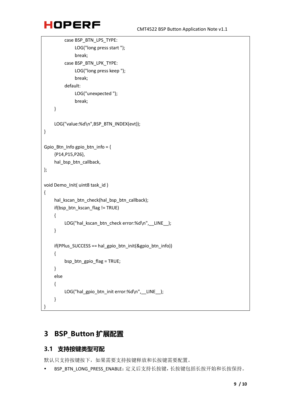```
case BSP_BTN_LPS_TYPE:
              LOG("long press start ");
              break;
         case BSP_BTN_LPK_TYPE:
              LOG("long press keep ");
              break;
         default:
              LOG("unexpected ");
              break;
    }
    LOG("value:%d\n",BSP_BTN_INDEX(evt));
} 
Gpio Btn Info gpio btn info = \{{P14,P15,P26},
    hal_bsp_btn_callback,
};
void Demo_Init( uint8 task_id )
{
    hal_kscan_btn_check(hal_bsp_btn_callback);
    if(bsp_btn_kscan_flag != TRUE)
    {
         LOG("hal kscan_btn_check error:%d\n", LINE );
    }
    if(PPlus SUCCESS == hal_gpio_btn_init(&gpio_btn_info))
    {
         bsp_btn_gpio_flag = TRUE;
    }
    else
    {
         LOG("hal_gpio_btn_init error:%d\n", LINE );
    }
}
```
### <span id="page-11-0"></span>**3 BSP\_Button 扩展配置**

### <span id="page-11-1"></span>**3.1 支持按键类型可配**

默认只支持按键按下,如果需要支持按键释放和长按键需要配置。

• BSP BTN LONG PRESS ENABLE: 定义后支持长按键,长按键包括长按开始和长按保持。